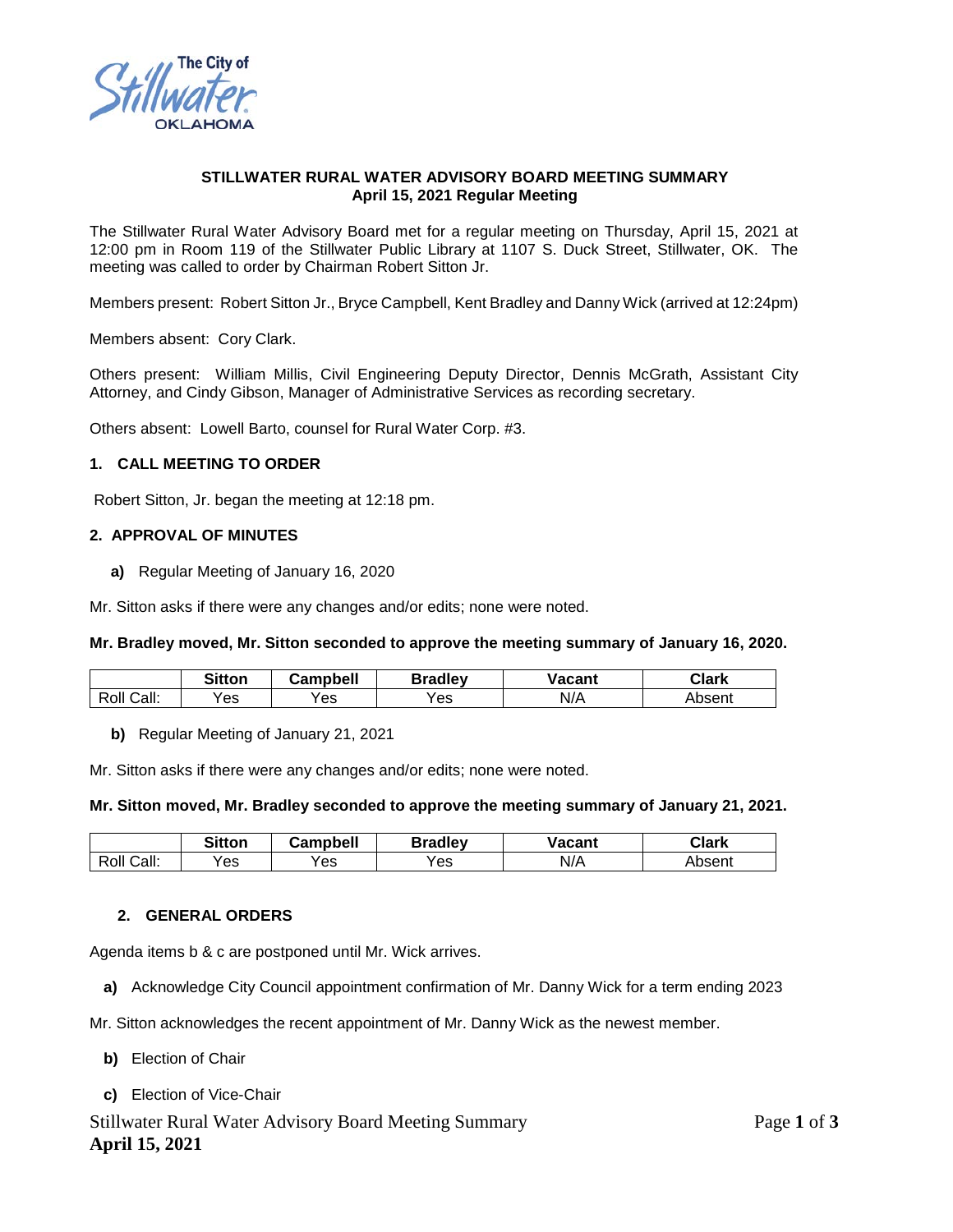

## **STILLWATER RURAL WATER ADVISORY BOARD MEETING SUMMARY April 15, 2021 Regular Meeting**

The Stillwater Rural Water Advisory Board met for a regular meeting on Thursday, April 15, 2021 at 12:00 pm in Room 119 of the Stillwater Public Library at 1107 S. Duck Street, Stillwater, OK. The meeting was called to order by Chairman Robert Sitton Jr.

Members present: Robert Sitton Jr., Bryce Campbell, Kent Bradley and Danny Wick (arrived at 12:24pm)

Members absent: Cory Clark.

Others present: William Millis, Civil Engineering Deputy Director, Dennis McGrath, Assistant City Attorney, and Cindy Gibson, Manager of Administrative Services as recording secretary.

Others absent: Lowell Barto, counsel for Rural Water Corp. #3.

## **1. CALL MEETING TO ORDER**

Robert Sitton, Jr. began the meeting at 12:18 pm.

#### **2. APPROVAL OF MINUTES**

**a)** Regular Meeting of January 16, 2020

Mr. Sitton asks if there were any changes and/or edits; none were noted.

#### **Mr. Bradley moved, Mr. Sitton seconded to approve the meeting summary of January 16, 2020.**

|               | Sitton | Campbell | <b>Bradley</b> | <b>Vacant</b> | Clark  |
|---------------|--------|----------|----------------|---------------|--------|
| Call:<br>Roll | res    | Yes      | res            | N/A           | Absent |

**b)** Regular Meeting of January 21, 2021

Mr. Sitton asks if there were any changes and/or edits; none were noted.

#### **Mr. Sitton moved, Mr. Bradley seconded to approve the meeting summary of January 21, 2021.**

|               | Sitton | Campbell | <b>Bradley</b> | <b>Vacant</b> | Clark  |
|---------------|--------|----------|----------------|---------------|--------|
| Call:<br>Roll | Yes    | Yes      | Yes            | N/A           | Absent |

## **2. GENERAL ORDERS**

Agenda items b & c are postponed until Mr. Wick arrives.

**a)** Acknowledge City Council appointment confirmation of Mr. Danny Wick for a term ending 2023

Mr. Sitton acknowledges the recent appointment of Mr. Danny Wick as the newest member.

- **b)** Election of Chair
- **c)** Election of Vice-Chair

# Stillwater Rural Water Advisory Board Meeting Summary Page **1** of **3 April 15, 2021**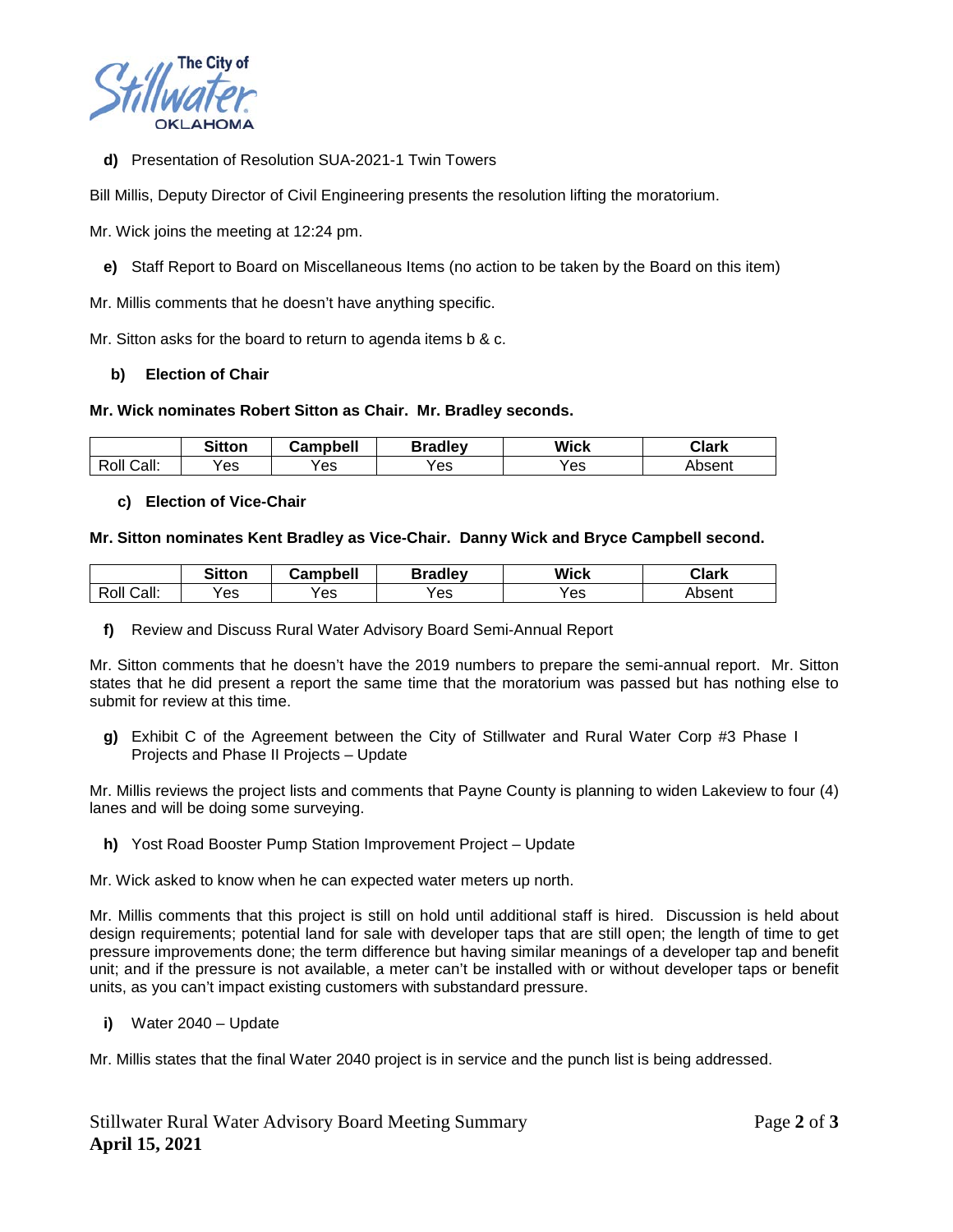

**d)** Presentation of Resolution SUA-2021-1 Twin Towers

Bill Millis, Deputy Director of Civil Engineering presents the resolution lifting the moratorium.

- Mr. Wick joins the meeting at 12:24 pm.
	- **e)** Staff Report to Board on Miscellaneous Items (no action to be taken by the Board on this item)
- Mr. Millis comments that he doesn't have anything specific.

Mr. Sitton asks for the board to return to agenda items b & c.

## **b) Election of Chair**

#### **Mr. Wick nominates Robert Sitton as Chair. Mr. Bradley seconds.**

|               | <b>Sitton</b> | <b>Campbell</b> | <b>Bradley</b> | <b>Wick</b> | <b>Clark</b> |
|---------------|---------------|-----------------|----------------|-------------|--------------|
| Call:<br>Roll | Yes           | Yes             | Yes            | Yes         | Absent       |

#### **c) Election of Vice-Chair**

#### **Mr. Sitton nominates Kent Bradley as Vice-Chair. Danny Wick and Bryce Campbell second.**

|               | <b>Sitton</b> | <b>Campbell</b> | <b>Sradley</b> | <b>Wick</b> | <b>Clark</b> |
|---------------|---------------|-----------------|----------------|-------------|--------------|
| Call:<br>Roll | es            | Yes             | res            | Yes         | Absent       |

**f)** Review and Discuss Rural Water Advisory Board Semi-Annual Report

Mr. Sitton comments that he doesn't have the 2019 numbers to prepare the semi-annual report. Mr. Sitton states that he did present a report the same time that the moratorium was passed but has nothing else to submit for review at this time.

**g)** Exhibit C of the Agreement between the City of Stillwater and Rural Water Corp #3 Phase I Projects and Phase II Projects – Update

Mr. Millis reviews the project lists and comments that Payne County is planning to widen Lakeview to four (4) lanes and will be doing some surveying.

**h)** Yost Road Booster Pump Station Improvement Project – Update

Mr. Wick asked to know when he can expected water meters up north.

Mr. Millis comments that this project is still on hold until additional staff is hired. Discussion is held about design requirements; potential land for sale with developer taps that are still open; the length of time to get pressure improvements done; the term difference but having similar meanings of a developer tap and benefit unit; and if the pressure is not available, a meter can't be installed with or without developer taps or benefit units, as you can't impact existing customers with substandard pressure.

**i)** Water 2040 – Update

Mr. Millis states that the final Water 2040 project is in service and the punch list is being addressed.